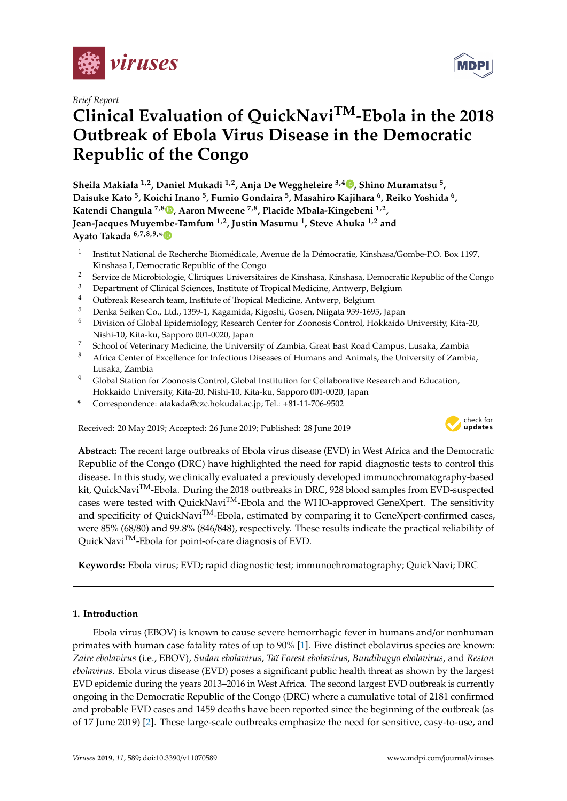

*Brief Report*

# **Clinical Evaluation of QuickNaviTM-Ebola in the 2018 Outbreak of Ebola Virus Disease in the Democratic Republic of the Congo**

**Sheila Makiala 1,2, Daniel Mukadi 1,2, Anja De Weggheleire 3,4 [,](https://orcid.org/0000-0001-9377-4766) Shino Muramatsu <sup>5</sup> , Daisuke Kato <sup>5</sup> , Koichi Inano <sup>5</sup> , Fumio Gondaira <sup>5</sup> , Masahiro Kajihara <sup>6</sup> , Reiko Yoshida <sup>6</sup> , Katendi Changula 7,8 [,](https://orcid.org/0000-0003-2182-4319) Aaron Mweene 7,8, Placide Mbala-Kingebeni 1,2 , Jean-Jacques Muyembe-Tamfum 1,2, Justin Masumu <sup>1</sup> , Steve Ahuka 1,2 and Ayato Takada 6,7,8,9,[\\*](https://orcid.org/0000-0003-2464-6642)**

- 1 Institut National de Recherche Biomédicale, Avenue de la Démocratie, Kinshasa/Gombe-P.O. Box 1197, Kinshasa I, Democratic Republic of the Congo
- <sup>2</sup> Service de Microbiologie, Cliniques Universitaires de Kinshasa, Kinshasa, Democratic Republic of the Congo<br><sup>3</sup> Democratic de Clinical Sciences, Institute of Tranical Madisine, Anturem, Palaium
- <sup>3</sup> Department of Clinical Sciences, Institute of Tropical Medicine, Antwerp, Belgium
- <sup>4</sup> Outbreak Research team, Institute of Tropical Medicine, Antwerp, Belgium
- <sup>5</sup> Denka Seiken Co., Ltd., 1359-1, Kagamida, Kigoshi, Gosen, Niigata 959-1695, Japan
- <sup>6</sup> Division of Global Epidemiology, Research Center for Zoonosis Control, Hokkaido University, Kita-20, Nishi-10, Kita-ku, Sapporo 001-0020, Japan
- <sup>7</sup> School of Veterinary Medicine, the University of Zambia, Great East Road Campus, Lusaka, Zambia
- <sup>8</sup> Africa Center of Excellence for Infectious Diseases of Humans and Animals, the University of Zambia, Lusaka, Zambia
- <sup>9</sup> Global Station for Zoonosis Control, Global Institution for Collaborative Research and Education, Hokkaido University, Kita-20, Nishi-10, Kita-ku, Sapporo 001-0020, Japan
- **\*** Correspondence: atakada@czc.hokudai.ac.jp; Tel.: +81-11-706-9502

Received: 20 May 2019; Accepted: 26 June 2019; Published: 28 June 2019



**Abstract:** The recent large outbreaks of Ebola virus disease (EVD) in West Africa and the Democratic Republic of the Congo (DRC) have highlighted the need for rapid diagnostic tests to control this disease. In this study, we clinically evaluated a previously developed immunochromatography-based kit, QuickNavi<sup>TM</sup>-Ebola. During the 2018 outbreaks in DRC, 928 blood samples from EVD-suspected cases were tested with QuickNavi<sup>TM</sup>-Ebola and the WHO-approved GeneXpert. The sensitivity and specificity of QuickNavi<sup>TM</sup>-Ebola, estimated by comparing it to GeneXpert-confirmed cases, were 85% (68/80) and 99.8% (846/848), respectively. These results indicate the practical reliability of QuickNaviTM-Ebola for point-of-care diagnosis of EVD.

**Keywords:** Ebola virus; EVD; rapid diagnostic test; immunochromatography; QuickNavi; DRC

# **1. Introduction**

Ebola virus (EBOV) is known to cause severe hemorrhagic fever in humans and/or nonhuman primates with human case fatality rates of up to 90% [\[1\]](#page-5-0). Five distinct ebolavirus species are known: *Zaire ebolavirus* (i.e., EBOV), *Sudan ebolavirus*, *Taï Forest ebolavirus*, *Bundibugyo ebolavirus*, and *Reston ebolavirus*. Ebola virus disease (EVD) poses a significant public health threat as shown by the largest EVD epidemic during the years 2013–2016 in West Africa. The second largest EVD outbreak is currently ongoing in the Democratic Republic of the Congo (DRC) where a cumulative total of 2181 confirmed and probable EVD cases and 1459 deaths have been reported since the beginning of the outbreak (as of 17 June 2019) [\[2\]](#page-5-1). These large-scale outbreaks emphasize the need for sensitive, easy-to-use, and

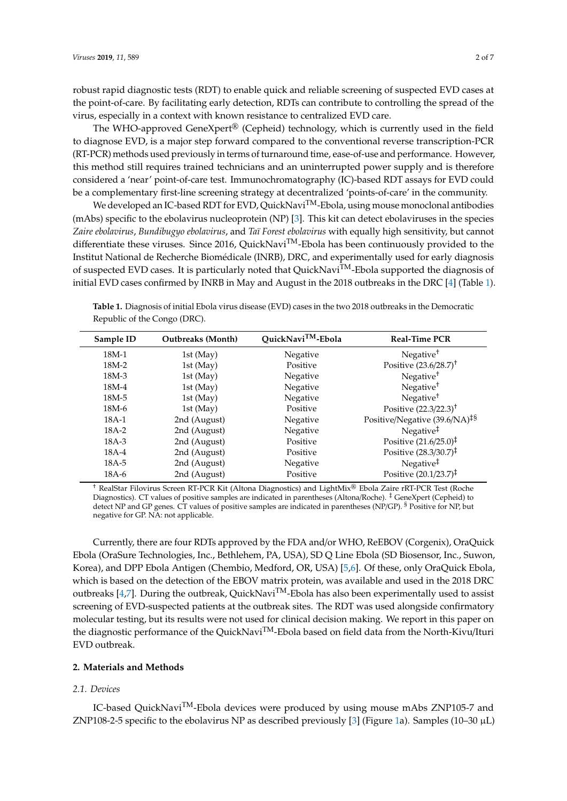robust rapid diagnostic tests (RDT) to enable quick and reliable screening of suspected EVD cases at the point-of-care. By facilitating early detection, RDTs can contribute to controlling the spread of the virus, especially in a context with known resistance to centralized EVD care.

The WHO-approved GeneXpert<sup>®</sup> (Cepheid) technology, which is currently used in the field to diagnose EVD, is a major step forward compared to the conventional reverse transcription-PCR (RT-PCR) methods used previously in terms of turnaround time, ease-of-use and performance. However, this method still requires trained technicians and an uninterrupted power supply and is therefore considered a 'near' point-of-care test. Immunochromatography (IC)-based RDT assays for EVD could be a complementary first-line screening strategy at decentralized 'points-of-care' in the community.

We developed an IC-based RDT for EVD, QuickNavi<sup>TM</sup>-Ebola, using mouse monoclonal antibodies (mAbs) specific to the ebolavirus nucleoprotein (NP) [\[3\]](#page-5-2). This kit can detect ebolaviruses in the species *Zaire ebolavirus*, *Bundibugyo ebolavirus*, and *Taï Forest ebolavirus* with equally high sensitivity, but cannot differentiate these viruses. Since 2016, QuickNavi<sup>TM</sup>-Ebola has been continuously provided to the Institut National de Recherche Biomédicale (INRB), DRC, and experimentally used for early diagnosis of suspected EVD cases. It is particularly noted that QuickNavi<sup>TM</sup>-Ebola supported the diagnosis of initial EVD cases confirmed by INRB in May and August in the 2018 outbreaks in the DRC [\[4\]](#page-5-3) (Table [1\)](#page-1-0).

<span id="page-1-0"></span>

| Table 1. Diagnosis of initial Ebola virus disease (EVD) cases in the two 2018 outbreaks in the Democratic |
|-----------------------------------------------------------------------------------------------------------|
| Republic of the Congo (DRC).                                                                              |

| Sample ID | <b>Outbreaks</b> (Month) | QuickNavi <sup>TM</sup> -Ebola | <b>Real-Time PCR</b>                      |
|-----------|--------------------------|--------------------------------|-------------------------------------------|
| $18M-1$   | 1st (May)                | Negative                       | Negative <sup>†</sup>                     |
| 18M-2     | 1st (May)                | Positive                       | Positive $(23.6/28.7)^{+}$                |
| $18M-3$   | 1st (May)                | Negative                       | Negative <sup>†</sup>                     |
| 18M-4     | 1st (May)                | Negative                       | Negative <sup>†</sup>                     |
| 18M-5     | 1st (May)                | Negative                       | Negative <sup>†</sup>                     |
| $18M-6$   | 1st (May)                | Positive                       | Positive (22.3/22.3) <sup>†</sup>         |
| 18A-1     | 2nd (August)             | Negative                       | Positive/Negative (39.6/NA) <sup>‡§</sup> |
| $18A-2$   | 2nd (August)             | Negative                       | Negative <sup>‡</sup>                     |
| $18A-3$   | 2nd (August)             | Positive                       | Positive $(21.6/25.0)^{\ddagger}$         |
| $18A-4$   | 2nd (August)             | Positive                       | Positive $(28.3/30.7)^{\ddagger}$         |
| $18A-5$   | 2nd (August)             | Negative                       | Negative <sup>‡</sup>                     |
| $18A-6$   | 2nd (August)             | Positive                       | Positive (20.1/23.7) <sup>‡</sup>         |

† RealStar Filovirus Screen RT-PCR Kit (Altona Diagnostics) and LightMix® Ebola Zaire rRT-PCR Test (Roche Diagnostics). CT values of positive samples are indicated in parentheses (Altona/Roche). ‡ GeneXpert (Cepheid) to detect NP and GP genes. CT values of positive samples are indicated in parentheses (NP/GP). § Positive for NP, but negative for GP. NA: not applicable.

Currently, there are four RDTs approved by the FDA and/or WHO, ReEBOV (Corgenix), OraQuick Ebola (OraSure Technologies, Inc., Bethlehem, PA, USA), SD Q Line Ebola (SD Biosensor, Inc., Suwon, Korea), and DPP Ebola Antigen (Chembio, Medford, OR, USA) [\[5](#page-5-4)[,6\]](#page-5-5). Of these, only OraQuick Ebola, which is based on the detection of the EBOV matrix protein, was available and used in the 2018 DRC outbreaks [\[4](#page-5-3)[,7\]](#page-5-6). During the outbreak, QuickNavi<sup>TM</sup>-Ebola has also been experimentally used to assist screening of EVD-suspected patients at the outbreak sites. The RDT was used alongside confirmatory molecular testing, but its results were not used for clinical decision making. We report in this paper on the diagnostic performance of the QuickNaviTM-Ebola based on field data from the North-Kivu/Ituri EVD outbreak.

## **2. Materials and Methods**

#### *2.1. Devices*

IC-based QuickNavi<sup>TM</sup>-Ebola devices were produced by using mouse mAbs ZNP105-7 and ZNP108-2-5 specific to the ebolavirus NP as described previously [\[3\]](#page-5-2) (Figure [1a](#page-2-0)). Samples (10–30  $\mu$ L)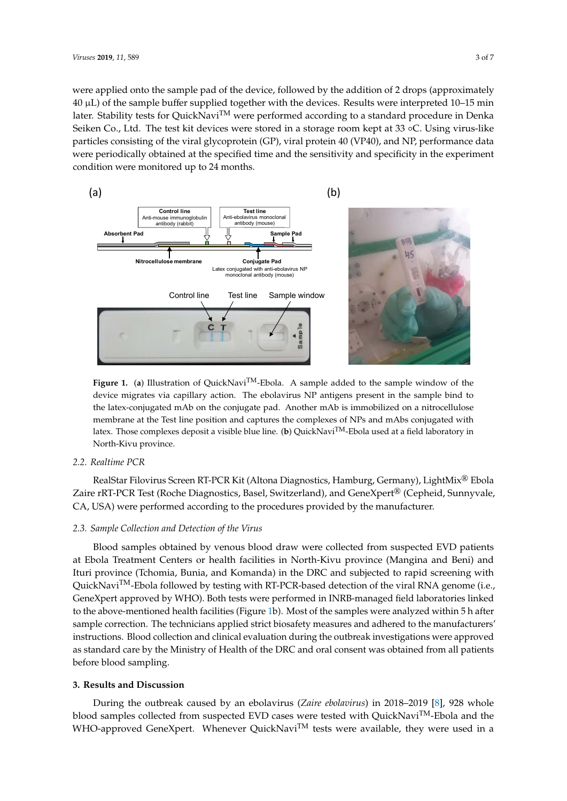were applied onto the sample pad of the device, followed by the addition of 2 drops (approximately 40 µL) of the sample buffer supplied together with the devices. Results were interpreted 10–15 min later. Stability tests for QuickNavi<sup>TM</sup> were performed according to a standard procedure in Denka Seiken Co., Ltd. The test kit devices were stored in a storage room kept at 33 ◦C. Using virus-like particles consisting of the viral glycoprotein (GP), viral protein 40 (VP40), and NP, performance data were periodically obtained at the specified time and the sensitivity and specificity in the experiment condition were monitored up to 24 months.

<span id="page-2-0"></span>

Figure 1. (a) Illustration of QuickNavi<sup>TM</sup>-Ebola. A sample added to the sample window of the device migrates via capillary action. The ebolavirus NP antigens present in the sample bind to the latex-conjugated mAb on the conjugate pad. Another mAb is immobilized on a nitrocellulose membrane at the Test line position and captures the complexes of NPs and mAbs conjugated with latex. Those complexes deposit a visible blue line. (**b**) QuickNaviTM-Ebola used at a field laboratory in North-Kivu province.

# *2.2. Realtime PCR*

RealStar Filovirus Screen RT-PCR Kit (Altona Diagnostics, Hamburg, Germany), LightMix® Ebola Zaire rRT-PCR Test (Roche Diagnostics, Basel, Switzerland), and GeneXpert® (Cepheid, Sunnyvale, CA, USA) were performed according to the procedures provided by the manufacturer.

## *2.3. Sample Collection and Detection of the Virus*

Blood samples obtained by venous blood draw were collected from suspected EVD patients at Ebola Treatment Centers or health facilities in North-Kivu province (Mangina and Beni) and Ituri province (Tchomia, Bunia, and Komanda) in the DRC and subjected to rapid screening with QuickNavi<sup>TM</sup>-Ebola followed by testing with RT-PCR-based detection of the viral RNA genome (i.e., GeneXpert approved by WHO). Both tests were performed in INRB-managed field laboratories linked to the above-mentioned health facilities (Figure [1b](#page-2-0)). Most of the samples were analyzed within 5 h after sample correction. The technicians applied strict biosafety measures and adhered to the manufacturers' instructions. Blood collection and clinical evaluation during the outbreak investigations were approved as standard care by the Ministry of Health of the DRC and oral consent was obtained from all patients before blood sampling.

## **3. Results and Discussion**

During the outbreak caused by an ebolavirus (*Zaire ebolavirus*) in 2018–2019 [\[8\]](#page-5-7), 928 whole blood samples collected from suspected EVD cases were tested with QuickNavi<sup>TM</sup>-Ebola and the WHO-approved GeneXpert. Whenever QuickNavi<sup>TM</sup> tests were available, they were used in a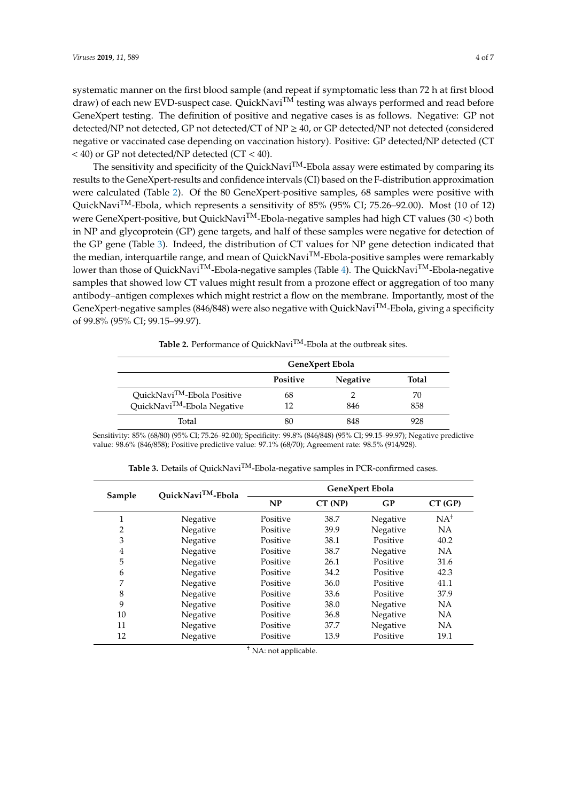systematic manner on the first blood sample (and repeat if symptomatic less than 72 h at first blood draw) of each new EVD-suspect case. QuickNavi<sup>TM</sup> testing was always performed and read before GeneXpert testing. The definition of positive and negative cases is as follows. Negative: GP not detected/NP not detected, GP not detected/CT of NP ≥ 40, or GP detected/NP not detected (considered negative or vaccinated case depending on vaccination history). Positive: GP detected/NP detected (CT < 40) or GP not detected/NP detected (CT < 40).

The sensitivity and specificity of the QuickNavi<sup>TM</sup>-Ebola assay were estimated by comparing its results to the GeneXpert-results and confidence intervals (CI) based on the F-distribution approximation were calculated (Table [2\)](#page-3-0). Of the 80 GeneXpert-positive samples, 68 samples were positive with QuickNaviTM-Ebola, which represents a sensitivity of 85% (95% CI; 75.26–92.00). Most (10 of 12) were GeneXpert-positive, but QuickNavi<sup>TM</sup>-Ebola-negative samples had high CT values (30 <) both in NP and glycoprotein (GP) gene targets, and half of these samples were negative for detection of the GP gene (Table [3\)](#page-3-1). Indeed, the distribution of CT values for NP gene detection indicated that the median, interquartile range, and mean of QuickNavi<sup>TM</sup>-Ebola-positive samples were remarkably lower than those of QuickNavi<sup>TM</sup>-Ebola-negative samples (Table [4\)](#page-4-0). The QuickNavi<sup>TM</sup>-Ebola-negative samples that showed low CT values might result from a prozone effect or aggregation of too many antibody–antigen complexes which might restrict a flow on the membrane. Importantly, most of the GeneXpert-negative samples (846/848) were also negative with QuickNavi<sup>TM</sup>-Ebola, giving a specificity of 99.8% (95% CI; 99.15–99.97).

Table 2. Performance of QuickNavi<sup>TM</sup>-Ebola at the outbreak sites.

<span id="page-3-0"></span>

|                                         | GeneXpert Ebola |                 |       |
|-----------------------------------------|-----------------|-----------------|-------|
|                                         | <b>Positive</b> | <b>Negative</b> | Total |
| QuickNavi <sup>TM</sup> -Ebola Positive | 68              |                 | 70    |
| QuickNavi <sup>TM</sup> -Ebola Negative | 12              | 846             | 858   |
| Total                                   |                 | 848             | 928   |

<span id="page-3-1"></span>Sensitivity: 85% (68/80) (95% CI; 75.26–92.00); Specificity: 99.8% (846/848) (95% CI; 99.15–99.97); Negative predictive value: 98.6% (846/858); Positive predictive value: 97.1% (68/70); Agreement rate: 98.5% (914/928).

| Sample         | QuickNavi <sup>TM</sup> -Ebola | GeneXpert Ebola |         |          |                 |
|----------------|--------------------------------|-----------------|---------|----------|-----------------|
|                |                                | NP              | CT (NP) | GP       | CT(GP)          |
| 1              | Negative                       | Positive        | 38.7    | Negative | NA <sup>†</sup> |
| $\overline{2}$ | Negative                       | Positive        | 39.9    | Negative | NA              |
| 3              | Negative                       | Positive        | 38.1    | Positive | 40.2            |
| $\overline{4}$ | Negative                       | Positive        | 38.7    | Negative | <b>NA</b>       |
| 5              | Negative                       | Positive        | 26.1    | Positive | 31.6            |
| 6              | Negative                       | Positive        | 34.2    | Positive | 42.3            |
| 7              | Negative                       | Positive        | 36.0    | Positive | 41.1            |
| 8              | Negative                       | Positive        | 33.6    | Positive | 37.9            |
| 9              | Negative                       | Positive        | 38.0    | Negative | <b>NA</b>       |
| 10             | Negative                       | Positive        | 36.8    | Negative | <b>NA</b>       |
| 11             | Negative                       | Positive        | 37.7    | Negative | NA              |
| 12             | Negative                       | Positive        | 13.9    | Positive | 19.1            |

Table 3. Details of QuickNavi<sup>TM</sup>-Ebola-negative samples in PCR-confirmed cases.

† NA: not applicable.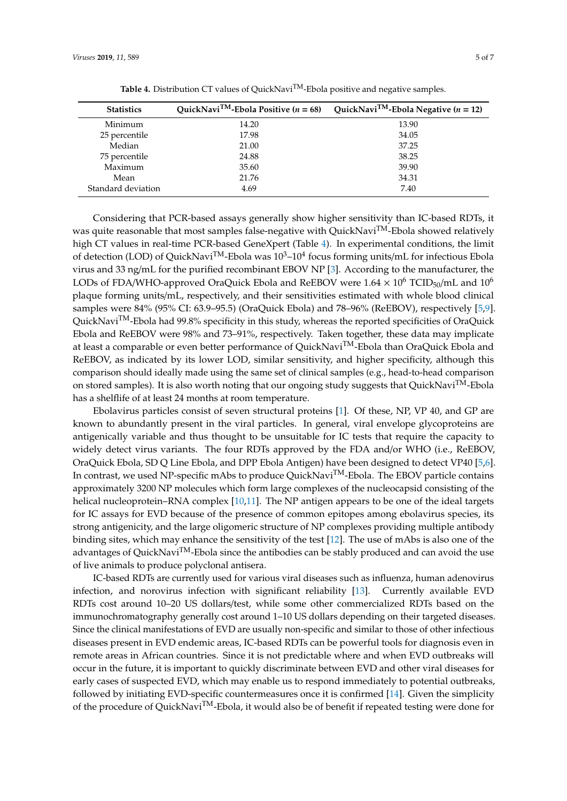<span id="page-4-0"></span>

| <b>Statistics</b>  | QuickNavi <sup>TM</sup> -Ebola Positive ( $n = 68$ ) | QuickNavi <sup>TM</sup> -Ebola Negative ( $n = 12$ ) |
|--------------------|------------------------------------------------------|------------------------------------------------------|
| Minimum            | 14.20                                                | 13.90                                                |
| 25 percentile      | 17.98                                                | 34.05                                                |
| Median             | 21.00                                                | 37.25                                                |
| 75 percentile      | 24.88                                                | 38.25                                                |
| Maximum            | 35.60                                                | 39.90                                                |
| Mean               | 21.76                                                | 34.31                                                |
| Standard deviation | 4.69                                                 | 7.40                                                 |

Table 4. Distribution CT values of QuickNavi<sup>TM</sup>-Ebola positive and negative samples.

Considering that PCR-based assays generally show higher sensitivity than IC-based RDTs, it was quite reasonable that most samples false-negative with QuickNavi<sup>TM</sup>-Ebola showed relatively high CT values in real-time PCR-based GeneXpert (Table [4\)](#page-4-0). In experimental conditions, the limit of detection (LOD) of QuickNavi<sup>TM</sup>-Ebola was  $10^3$ – $10^4$  focus forming units/mL for infectious Ebola virus and 33 ng/mL for the purified recombinant EBOV NP [\[3\]](#page-5-2). According to the manufacturer, the LODs of FDA/WHO-approved OraQuick Ebola and ReEBOV were  $1.64 \times 10^6$  TCID<sub>50</sub>/mL and  $10^6$ plaque forming units/mL, respectively, and their sensitivities estimated with whole blood clinical samples were 84% (95% CI: 63.9–95.5) (OraQuick Ebola) and 78–96% (ReEBOV), respectively [\[5,](#page-5-4)[9\]](#page-5-8). QuickNavi<sup>TM</sup>-Ebola had 99.8% specificity in this study, whereas the reported specificities of OraQuick Ebola and ReEBOV were 98% and 73–91%, respectively. Taken together, these data may implicate at least a comparable or even better performance of QuickNavi<sup>TM</sup>-Ebola than OraQuick Ebola and ReEBOV, as indicated by its lower LOD, similar sensitivity, and higher specificity, although this comparison should ideally made using the same set of clinical samples (e.g., head-to-head comparison on stored samples). It is also worth noting that our ongoing study suggests that QuickNavi<sup>TM</sup>-Ebola has a shelflife of at least 24 months at room temperature.

Ebolavirus particles consist of seven structural proteins [\[1\]](#page-5-0). Of these, NP, VP 40, and GP are known to abundantly present in the viral particles. In general, viral envelope glycoproteins are antigenically variable and thus thought to be unsuitable for IC tests that require the capacity to widely detect virus variants. The four RDTs approved by the FDA and/or WHO (i.e., ReEBOV, OraQuick Ebola, SD Q Line Ebola, and DPP Ebola Antigen) have been designed to detect VP40 [\[5,](#page-5-4)[6\]](#page-5-5). In contrast, we used NP-specific mAbs to produce QuickNavi<sup>TM</sup>-Ebola. The EBOV particle contains approximately 3200 NP molecules which form large complexes of the nucleocapsid consisting of the helical nucleoprotein–RNA complex [\[10](#page-5-9)[,11\]](#page-5-10). The NP antigen appears to be one of the ideal targets for IC assays for EVD because of the presence of common epitopes among ebolavirus species, its strong antigenicity, and the large oligomeric structure of NP complexes providing multiple antibody binding sites, which may enhance the sensitivity of the test [\[12\]](#page-5-11). The use of mAbs is also one of the advantages of QuickNavi<sup>TM</sup>-Ebola since the antibodies can be stably produced and can avoid the use of live animals to produce polyclonal antisera.

IC-based RDTs are currently used for various viral diseases such as influenza, human adenovirus infection, and norovirus infection with significant reliability [\[13\]](#page-6-0). Currently available EVD RDTs cost around 10–20 US dollars/test, while some other commercialized RDTs based on the immunochromatography generally cost around 1–10 US dollars depending on their targeted diseases. Since the clinical manifestations of EVD are usually non-specific and similar to those of other infectious diseases present in EVD endemic areas, IC-based RDTs can be powerful tools for diagnosis even in remote areas in African countries. Since it is not predictable where and when EVD outbreaks will occur in the future, it is important to quickly discriminate between EVD and other viral diseases for early cases of suspected EVD, which may enable us to respond immediately to potential outbreaks, followed by initiating EVD-specific countermeasures once it is confirmed [\[14\]](#page-6-1). Given the simplicity of the procedure of QuickNavi<sup>TM</sup>-Ebola, it would also be of benefit if repeated testing were done for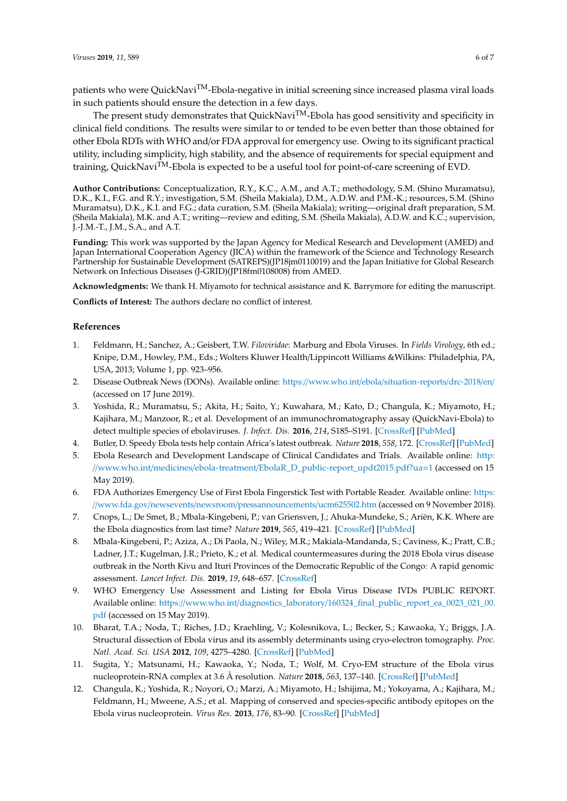patients who were QuickNavi<sup>TM</sup>-Ebola-negative in initial screening since increased plasma viral loads in such patients should ensure the detection in a few days.

The present study demonstrates that QuickNavi<sup>TM</sup>-Ebola has good sensitivity and specificity in clinical field conditions. The results were similar to or tended to be even better than those obtained for other Ebola RDTs with WHO and/or FDA approval for emergency use. Owing to its significant practical utility, including simplicity, high stability, and the absence of requirements for special equipment and training, QuickNavi<sup>TM</sup>-Ebola is expected to be a useful tool for point-of-care screening of EVD.

**Author Contributions:** Conceptualization, R.Y., K.C., A.M., and A.T.; methodology, S.M. (Shino Muramatsu), D.K., K.I., F.G. and R.Y.; investigation, S.M. (Sheila Makiala), D.M., A.D.W. and P.M.-K.; resources, S.M. (Shino Muramatsu), D.K., K.I. and F.G.; data curation, S.M. (Sheila Makiala); writing—original draft preparation, S.M. (Sheila Makiala), M.K. and A.T.; writing—review and editing, S.M. (Sheila Makiala), A.D.W. and K.C.; supervision, J.-J.M.-T., J.M., S.A., and A.T.

**Funding:** This work was supported by the Japan Agency for Medical Research and Development (AMED) and Japan International Cooperation Agency (JICA) within the framework of the Science and Technology Research Partnership for Sustainable Development (SATREPS)(JP18jm0110019) and the Japan Initiative for Global Research Network on Infectious Diseases (J-GRID)(JP18fm0108008) from AMED.

**Acknowledgments:** We thank H. Miyamoto for technical assistance and K. Barrymore for editing the manuscript.

**Conflicts of Interest:** The authors declare no conflict of interest.

#### **References**

- <span id="page-5-0"></span>1. Feldmann, H.; Sanchez, A.; Geisbert, T.W. *Filoviridae*: Marburg and Ebola Viruses. In *Fields Virology*, 6th ed.; Knipe, D.M., Howley, P.M., Eds.; Wolters Kluwer Health/Lippincott Williams &Wilkins: Philadelphia, PA, USA, 2013; Volume 1, pp. 923–956.
- <span id="page-5-1"></span>2. Disease Outbreak News (DONs). Available online: https://www.who.int/ebola/[situation-reports](https://www.who.int/ebola/situation-reports/drc-2018/en/)/drc-2018/en/ (accessed on 17 June 2019).
- <span id="page-5-2"></span>3. Yoshida, R.; Muramatsu, S.; Akita, H.; Saito, Y.; Kuwahara, M.; Kato, D.; Changula, K.; Miyamoto, H.; Kajihara, M.; Manzoor, R.; et al. Development of an immunochromatography assay (QuickNavi-Ebola) to detect multiple species of ebolaviruses. *J. Infect. Dis.* **2016**, *214*, S185–S191. [\[CrossRef\]](http://dx.doi.org/10.1093/infdis/jiw252) [\[PubMed\]](http://www.ncbi.nlm.nih.gov/pubmed/27462094)
- <span id="page-5-3"></span>4. Butler, D. Speedy Ebola tests help contain Africa's latest outbreak. *Nature* **2018**, *558*, 172. [\[CrossRef\]](http://dx.doi.org/10.1038/d41586-018-05389-2) [\[PubMed\]](http://www.ncbi.nlm.nih.gov/pubmed/29895925)
- <span id="page-5-4"></span>5. Ebola Research and Development Landscape of Clinical Candidates and Trials. Available online: [http:](http://www.who.int/medicines/ebola-treatment/EbolaR_D_public-report_updt2015.pdf?ua=1) //www.who.int/medicines/ebola-treatment/[EbolaR\\_D\\_public-report\\_updt2015.pdf?ua](http://www.who.int/medicines/ebola-treatment/EbolaR_D_public-report_updt2015.pdf?ua=1)=1 (accessed on 15 May 2019).
- <span id="page-5-5"></span>6. FDA Authorizes Emergency Use of First Ebola Fingerstick Test with Portable Reader. Available online: [https:](https://www.fda.gov/newsevents/newsroom/pressannouncements/ucm625502.htm) //www.fda.gov/newsevents/newsroom/[pressannouncements](https://www.fda.gov/newsevents/newsroom/pressannouncements/ucm625502.htm)/ucm625502.htm (accessed on 9 November 2018).
- <span id="page-5-6"></span>7. Cnops, L.; De Smet, B.; Mbala-Kingebeni, P.; van Griensven, J.; Ahuka-Mundeke, S.; Ariën, K.K. Where are the Ebola diagnostics from last time? *Nature* **2019**, *565*, 419–421. [\[CrossRef\]](http://dx.doi.org/10.1038/d41586-019-00212-y) [\[PubMed\]](http://www.ncbi.nlm.nih.gov/pubmed/30670861)
- <span id="page-5-7"></span>8. Mbala-Kingebeni, P.; Aziza, A.; Di Paola, N.; Wiley, M.R.; Makiala-Mandanda, S.; Caviness, K.; Pratt, C.B.; Ladner, J.T.; Kugelman, J.R.; Prieto, K.; et al. Medical countermeasures during the 2018 Ebola virus disease outbreak in the North Kivu and Ituri Provinces of the Democratic Republic of the Congo: A rapid genomic assessment. *Lancet Infect. Dis.* **2019**, *19*, 648–657. [\[CrossRef\]](http://dx.doi.org/10.1016/S1473-3099(19)30118-5)
- <span id="page-5-8"></span>9. WHO Emergency Use Assessment and Listing for Ebola Virus Disease IVDs PUBLIC REPORT. Available online: https://www.who.int/diagnostics\_laboratory/[160324\\_final\\_public\\_report\\_ea\\_0023\\_021\\_00.](https://www.who.int/diagnostics_laboratory/160324_final_public_report_ea_0023_021_00.pdf) [pdf](https://www.who.int/diagnostics_laboratory/160324_final_public_report_ea_0023_021_00.pdf) (accessed on 15 May 2019).
- <span id="page-5-9"></span>10. Bharat, T.A.; Noda, T.; Riches, J.D.; Kraehling, V.; Kolesnikova, L.; Becker, S.; Kawaoka, Y.; Briggs, J.A. Structural dissection of Ebola virus and its assembly determinants using cryo-electron tomography. *Proc. Natl. Acad. Sci. USA* **2012**, *109*, 4275–4280. [\[CrossRef\]](http://dx.doi.org/10.1073/pnas.1120453109) [\[PubMed\]](http://www.ncbi.nlm.nih.gov/pubmed/22371572)
- <span id="page-5-10"></span>11. Sugita, Y.; Matsunami, H.; Kawaoka, Y.; Noda, T.; Wolf, M. Cryo-EM structure of the Ebola virus nucleoprotein-RNA complex at 3.6 Å resolution. *Nature* **2018**, *563*, 137–140. [\[CrossRef\]](http://dx.doi.org/10.1038/s41586-018-0630-0) [\[PubMed\]](http://www.ncbi.nlm.nih.gov/pubmed/30333622)
- <span id="page-5-11"></span>12. Changula, K.; Yoshida, R.; Noyori, O.; Marzi, A.; Miyamoto, H.; Ishijima, M.; Yokoyama, A.; Kajihara, M.; Feldmann, H.; Mweene, A.S.; et al. Mapping of conserved and species-specific antibody epitopes on the Ebola virus nucleoprotein. *Virus Res.* **2013**, *176*, 83–90. [\[CrossRef\]](http://dx.doi.org/10.1016/j.virusres.2013.05.004) [\[PubMed\]](http://www.ncbi.nlm.nih.gov/pubmed/23702199)